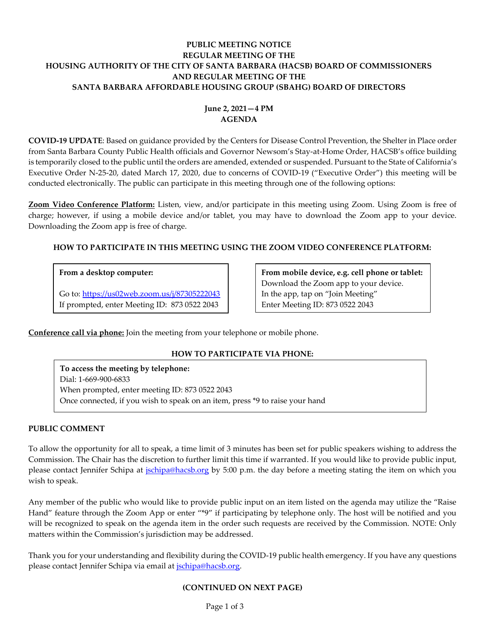# **PUBLIC MEETING NOTICE REGULAR MEETING OF THE HOUSING AUTHORITY OF THE CITY OF SANTA BARBARA (HACSB) BOARD OF COMMISSIONERS AND REGULAR MEETING OF THE SANTA BARBARA AFFORDABLE HOUSING GROUP (SBAHG) BOARD OF DIRECTORS**

# **June 2, 2021—4 PM AGENDA**

**COVID-19 UPDATE**: Based on guidance provided by the Centers for Disease Control Prevention, the Shelter in Place order from Santa Barbara County Public Health officials and Governor Newsom's Stay-at-Home Order, HACSB's office building is temporarily closed to the public until the orders are amended, extended or suspended. Pursuant to the State of California's Executive Order N-25-20, dated March 17, 2020, due to concerns of COVID-19 ("Executive Order") this meeting will be conducted electronically. The public can participate in this meeting through one of the following options:

**Zoom Video Conference Platform:** Listen, view, and/or participate in this meeting using Zoom. Using Zoom is free of charge; however, if using a mobile device and/or tablet, you may have to download the Zoom app to your device. Downloading the Zoom app is free of charge.

# **HOW TO PARTICIPATE IN THIS MEETING USING THE ZOOM VIDEO CONFERENCE PLATFORM:**

# **From a desktop computer:**

Go to:<https://us02web.zoom.us/j/87305222043> If prompted, enter Meeting ID: 873 0522 2043

**From mobile device, e.g. cell phone or tablet:** Download the Zoom app to your device. In the app, tap on "Join Meeting" Enter Meeting ID: 873 0522 2043

**Conference call via phone:** Join the meeting from your telephone or mobile phone.

# **HOW TO PARTICIPATE VIA PHONE:**

**To access the meeting by telephone:** Dial: 1-669-900-6833 When prompted, enter meeting ID: 873 0522 2043 Once connected, if you wish to speak on an item, press \*9 to raise your hand

# **PUBLIC COMMENT**

To allow the opportunity for all to speak, a time limit of 3 minutes has been set for public speakers wishing to address the Commission. The Chair has the discretion to further limit this time if warranted. If you would like to provide public input, please contact Jennifer Schipa at *jschipa@hacsb.org* by 5:00 p.m. the day before a meeting stating the item on which you wish to speak.

Any member of the public who would like to provide public input on an item listed on the agenda may utilize the "Raise Hand" feature through the Zoom App or enter "\*9" if participating by telephone only. The host will be notified and you will be recognized to speak on the agenda item in the order such requests are received by the Commission. NOTE: Only matters within the Commission's jurisdiction may be addressed.

Thank you for your understanding and flexibility during the COVID-19 public health emergency. If you have any questions please contact Jennifer Schipa via email at [jschipa@hacsb.org.](mailto:jschipa@hacsb.org)

# **(CONTINUED ON NEXT PAGE)**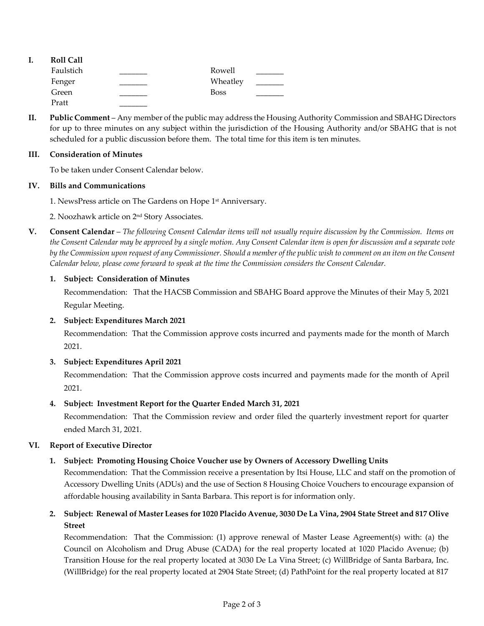| ı. | <b>Roll Call</b> |             |  |
|----|------------------|-------------|--|
|    | Faulstich        | Rowell      |  |
|    | Fenger           | Wheatley    |  |
|    | Green            | <b>Boss</b> |  |
|    | Pratt            |             |  |

**II. Public Comment** – Any member of the public may address the Housing Authority Commission and SBAHG Directors for up to three minutes on any subject within the jurisdiction of the Housing Authority and/or SBAHG that is not scheduled for a public discussion before them. The total time for this item is ten minutes.

### **III. Consideration of Minutes**

To be taken under Consent Calendar below.

#### **IV. Bills and Communications**

1. [NewsPress article on The Gardens on Hope 1](https://hacsb.org/download/meetings_2021/items/june/Item-IV.1_NewsPress-TGOH-Anniversary.pdf) st Anniversary.

2. [Noozhawk article on 2](https://hacsb.org/download/meetings_2021/items/june/Item-IV.2_Noozhawk-2nd-Story-Associates.pdf)<sup>nd</sup> Story Associates.

**V. Consent Calendar** – *The following Consent Calendar items will not usually require discussion by the Commission. Items on the Consent Calendar may be approved by a single motion. Any Consent Calendar item is open for discussion and a separate vote by the Commission upon request of any Commissioner. Should a member of the public wish to comment on an item on the Consent Calendar below, please come forward to speak at the time the Commission considers the Consent Calendar.*

### **1. Subject: Consideration of Minutes**

[Recommendation: That the HACSB Commission and SBAHG Board approve the Minutes of their May](https://hacsb.org/download/meetings_2021/items/june/Item-V.1_MINUTES-05-05-2021.pdf) 5, 2021 Regular Meeting.

# **2. Subject: Expenditures March 2021**

[Recommendation: That the Commission approve costs incurred and payments made for the month of March](https://hacsb.org/download/meetings_2021/items/june/Item-V.2_March-2021-Expenditures.pdf) 2021.

# **3. Subject: Expenditures April 2021**

[Recommendation: That the Commission approve costs incurred and payments made for the month of April](https://hacsb.org/download/meetings_2021/items/june/Item-V.3_April-2021-Expenditures.pdf) 2021.

# **4. Subject: Investment Report for the Quarter Ended March 31, 2021**

[Recommendation: That the Commission review and order filed the quarterly investment report for quarter](https://hacsb.org/download/meetings_2021/items/june/Item-V.4_Investment-Report-2021-03-31.pdf) ended March 31, 2021.

# **VI. Report of Executive Director**

# **1. Subject: Promoting Housing Choice Voucher use by Owners of Accessory Dwelling Units**

[Recommendation: That the Commission receive a presentation by Itsi House, LLC and staff on the promotion of](https://hacsb.org/download/meetings_2021/items/june/Item-VI.1_Itsi-House-and-HCV-Program.pdf)  Accessory Dwelling Units (ADUs) and the use of Section 8 Housing Choice Vouchers to encourage expansion of affordable housing availability in Santa Barbara. This report is for information only.

**2. [Subject: Renewal of Master Leases for 1020 Placido Avenue, 3030 De La Vina, 2904 State Street and 817 Olive](https://hacsb.org/download/meetings_2021/items/june/Item-VI.2_Master-Leases-Renewal-2021.pdf) Street**

Recommendation: That the Commission: (1) approve renewal of Master Lease Agreement(s) with: (a) the Council on Alcoholism and Drug Abuse (CADA) for the real property located at 1020 Placido Avenue; (b) Transition House for the real property located at 3030 De La Vina Street; (c) WillBridge of Santa Barbara, Inc. (WillBridge) for the real property located at 2904 State Street; (d) PathPoint for the real property located at 817